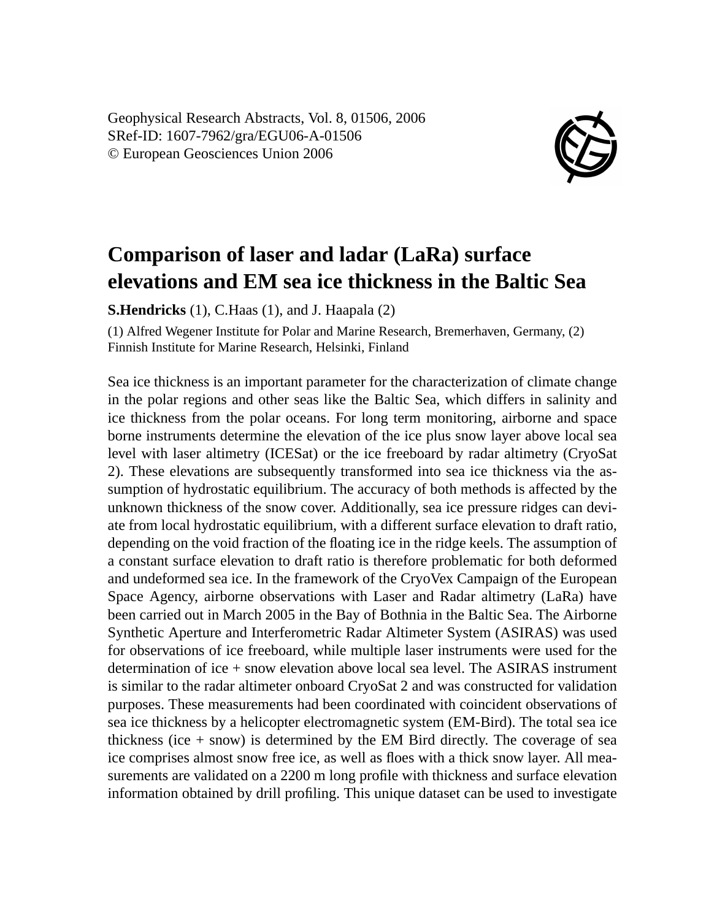Geophysical Research Abstracts, Vol. 8, 01506, 2006 SRef-ID: 1607-7962/gra/EGU06-A-01506 © European Geosciences Union 2006



## **Comparison of laser and ladar (LaRa) surface elevations and EM sea ice thickness in the Baltic Sea**

**S.Hendricks** (1), C.Haas (1), and J. Haapala (2)

(1) Alfred Wegener Institute for Polar and Marine Research, Bremerhaven, Germany, (2) Finnish Institute for Marine Research, Helsinki, Finland

Sea ice thickness is an important parameter for the characterization of climate change in the polar regions and other seas like the Baltic Sea, which differs in salinity and ice thickness from the polar oceans. For long term monitoring, airborne and space borne instruments determine the elevation of the ice plus snow layer above local sea level with laser altimetry (ICESat) or the ice freeboard by radar altimetry (CryoSat 2). These elevations are subsequently transformed into sea ice thickness via the assumption of hydrostatic equilibrium. The accuracy of both methods is affected by the unknown thickness of the snow cover. Additionally, sea ice pressure ridges can deviate from local hydrostatic equilibrium, with a different surface elevation to draft ratio, depending on the void fraction of the floating ice in the ridge keels. The assumption of a constant surface elevation to draft ratio is therefore problematic for both deformed and undeformed sea ice. In the framework of the CryoVex Campaign of the European Space Agency, airborne observations with Laser and Radar altimetry (LaRa) have been carried out in March 2005 in the Bay of Bothnia in the Baltic Sea. The Airborne Synthetic Aperture and Interferometric Radar Altimeter System (ASIRAS) was used for observations of ice freeboard, while multiple laser instruments were used for the determination of ice + snow elevation above local sea level. The ASIRAS instrument is similar to the radar altimeter onboard CryoSat 2 and was constructed for validation purposes. These measurements had been coordinated with coincident observations of sea ice thickness by a helicopter electromagnetic system (EM-Bird). The total sea ice thickness (ice  $+$  snow) is determined by the EM Bird directly. The coverage of sea ice comprises almost snow free ice, as well as floes with a thick snow layer. All measurements are validated on a 2200 m long profile with thickness and surface elevation information obtained by drill profiling. This unique dataset can be used to investigate